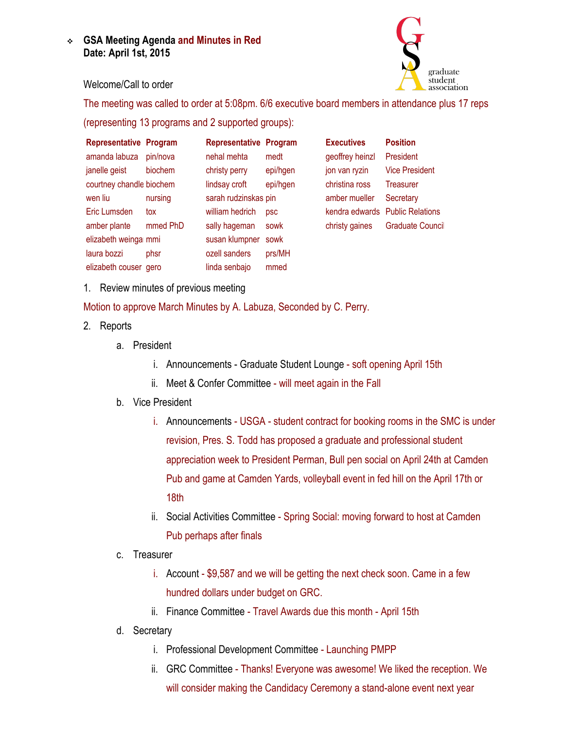**GSA Meeting Agenda and Minutes in Red Date: April 1st, 2015**



## Welcome/Call to order

The meeting was called to order at 5:08pm. 6/6 executive board members in attendance plus 17 reps

(representing 13 programs and 2 supported groups):

| <b>Representative Program</b> |          | <b>Representative Program</b> |            | <b>Executives</b> | <b>Position</b>                 |
|-------------------------------|----------|-------------------------------|------------|-------------------|---------------------------------|
| amanda labuza                 | pin/nova | nehal mehta                   | medt       | geoffrey heinzl   | President                       |
| janelle geist                 | biochem  | christy perry                 | epi/hgen   | jon van ryzin     | <b>Vice President</b>           |
| courtney chandle biochem      |          | lindsay croft                 | epi/hgen   | christina ross    | Treasurer                       |
| wen liu                       | nursing  | sarah rudzinskas pin          |            | amber mueller     | Secretary                       |
| Eric Lumsden                  | tox      | william hedrich               | <b>psc</b> |                   | kendra edwards Public Relations |
| amber plante                  | mmed PhD | sally hageman                 | sowk       | christy gaines    | Graduate Counci                 |
| elizabeth weinga mmi          |          | susan klumpner                | sowk       |                   |                                 |
| laura bozzi                   | phsr     | ozell sanders                 | prs/MH     |                   |                                 |
| elizabeth couser gero         |          | linda senbajo                 | mmed       |                   |                                 |

1. Review minutes of previous meeting

Motion to approve March Minutes by A. Labuza, Seconded by C. Perry.

- 2. Reports
	- a. President
		- i. Announcements Graduate Student Lounge soft opening April 15th
		- ii. Meet & Confer Committee will meet again in the Fall
	- b. Vice President
		- i. Announcements USGA student contract for booking rooms in the SMC is under revision, Pres. S. Todd has proposed a graduate and professional student appreciation week to President Perman, Bull pen social on April 24th at Camden Pub and game at Camden Yards, volleyball event in fed hill on the April 17th or 18th
		- ii. Social Activities Committee Spring Social: moving forward to host at Camden Pub perhaps after finals
	- c. Treasurer
		- i. Account \$9,587 and we will be getting the next check soon. Came in a few hundred dollars under budget on GRC.
		- ii. Finance Committee Travel Awards due this month April 15th
	- d. Secretary
		- i. Professional Development Committee Launching PMPP
		- ii. GRC Committee Thanks! Everyone was awesome! We liked the reception. We will consider making the Candidacy Ceremony a stand-alone event next year